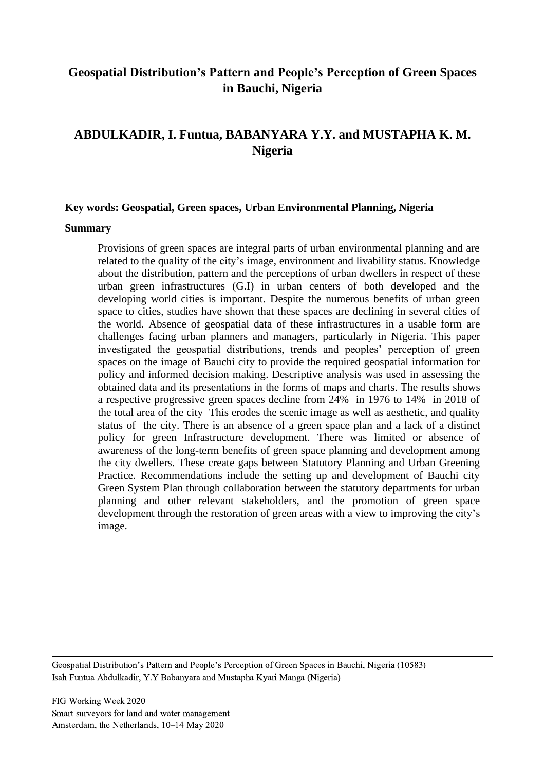# **Geospatial Distribution's Pattern and People's Perception of Green Spaces in Bauchi, Nigeria**

# **ABDULKADIR, I. Funtua, BABANYARA Y.Y. and MUSTAPHA K. M. Nigeria**

#### **Key words: Geospatial, Green spaces, Urban Environmental Planning, Nigeria**

#### **Summary**

Provisions of green spaces are integral parts of urban environmental planning and are related to the quality of the city's image, environment and livability status. Knowledge about the distribution, pattern and the perceptions of urban dwellers in respect of these urban green infrastructures (G.I) in urban centers of both developed and the developing world cities is important. Despite the numerous benefits of urban green space to cities, studies have shown that these spaces are declining in several cities of the world. Absence of geospatial data of these infrastructures in a usable form are challenges facing urban planners and managers, particularly in Nigeria. This paper investigated the geospatial distributions, trends and peoples' perception of green spaces on the image of Bauchi city to provide the required geospatial information for policy and informed decision making. Descriptive analysis was used in assessing the obtained data and its presentations in the forms of maps and charts. The results shows a respective progressive green spaces decline from 24% in 1976 to 14% in 2018 of the total area of the city This erodes the scenic image as well as aesthetic, and quality status of the city. There is an absence of a green space plan and a lack of a distinct policy for green Infrastructure development. There was limited or absence of awareness of the long-term benefits of green space planning and development among the city dwellers. These create gaps between Statutory Planning and Urban Greening Practice. Recommendations include the setting up and development of Bauchi city Green System Plan through collaboration between the statutory departments for urban planning and other relevant stakeholders, and the promotion of green space development through the restoration of green areas with a view to improving the city's image.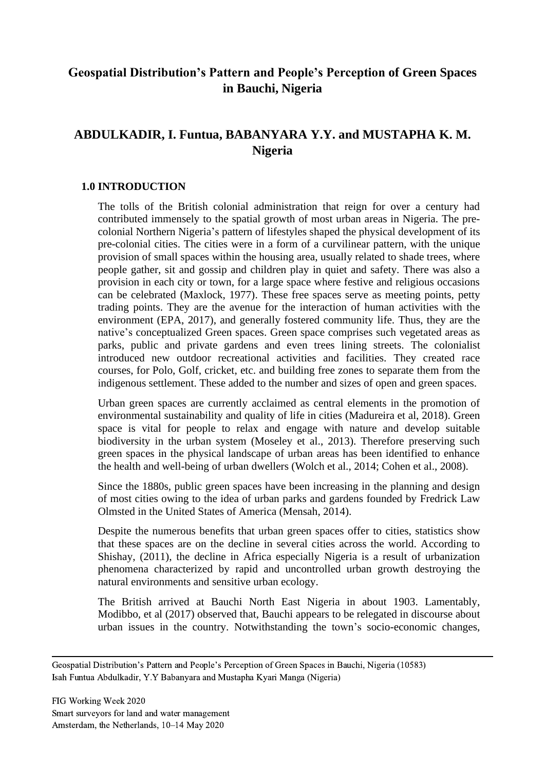# **Geospatial Distribution's Pattern and People's Perception of Green Spaces in Bauchi, Nigeria**

# **ABDULKADIR, I. Funtua, BABANYARA Y.Y. and MUSTAPHA K. M. Nigeria**

## **1.0 INTRODUCTION**

The tolls of the British colonial administration that reign for over a century had contributed immensely to the spatial growth of most urban areas in Nigeria. The precolonial Northern Nigeria's pattern of lifestyles shaped the physical development of its pre-colonial cities. The cities were in a form of a curvilinear pattern, with the unique provision of small spaces within the housing area, usually related to shade trees, where people gather, sit and gossip and children play in quiet and safety. There was also a provision in each city or town, for a large space where festive and religious occasions can be celebrated (Maxlock, 1977). These free spaces serve as meeting points, petty trading points. They are the avenue for the interaction of human activities with the environment (EPA, 2017), and generally fostered community life. Thus, they are the native's conceptualized Green spaces. Green space comprises such vegetated areas as parks, public and private gardens and even trees lining streets. The colonialist introduced new outdoor recreational activities and facilities. They created race courses, for Polo, Golf, cricket, etc. and building free zones to separate them from the indigenous settlement. These added to the number and sizes of open and green spaces.

Urban green spaces are currently acclaimed as central elements in the promotion of environmental sustainability and quality of life in cities (Madureira et al, 2018). Green space is vital for people to relax and engage with nature and develop suitable biodiversity in the urban system (Moseley et al., 2013). Therefore preserving such green spaces in the physical landscape of urban areas has been identified to enhance the health and well-being of urban dwellers (Wolch et al., 2014; Cohen et al., 2008).

Since the 1880s, public green spaces have been increasing in the planning and design of most cities owing to the idea of urban parks and gardens founded by Fredrick Law Olmsted in the United States of America (Mensah, 2014).

Despite the numerous benefits that urban green spaces offer to cities, statistics show that these spaces are on the decline in several cities across the world. According to Shishay, (2011), the decline in Africa especially Nigeria is a result of urbanization phenomena characterized by rapid and uncontrolled urban growth destroying the natural environments and sensitive urban ecology.

The British arrived at Bauchi North East Nigeria in about 1903. Lamentably, Modibbo, et al (2017) observed that, Bauchi appears to be relegated in discourse about urban issues in the country. Notwithstanding the town's socio-economic changes,

Geospatial Distribution's Pattern and People's Perception of Green Spaces in Bauchi, Nigeria (10583) Isah Funtua Abdulkadir, Y.Y Babanyara and Mustapha Kyari Manga (Nigeria)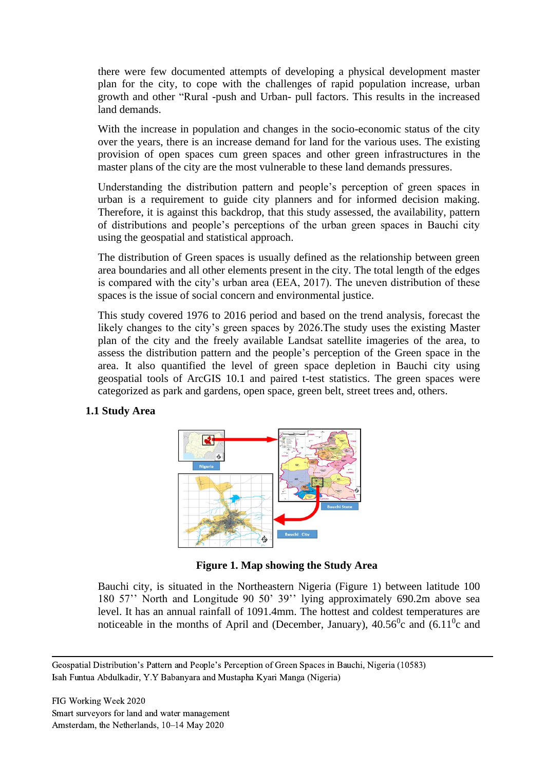there were few documented attempts of developing a physical development master plan for the city, to cope with the challenges of rapid population increase, urban growth and other "Rural -push and Urban- pull factors. This results in the increased land demands.

With the increase in population and changes in the socio-economic status of the city over the years, there is an increase demand for land for the various uses. The existing provision of open spaces cum green spaces and other green infrastructures in the master plans of the city are the most vulnerable to these land demands pressures.

Understanding the distribution pattern and people's perception of green spaces in urban is a requirement to guide city planners and for informed decision making. Therefore, it is against this backdrop, that this study assessed, the availability, pattern of distributions and people's perceptions of the urban green spaces in Bauchi city using the geospatial and statistical approach.

The distribution of Green spaces is usually defined as the relationship between green area boundaries and all other elements present in the city. The total length of the edges is compared with the city's urban area (EEA, 2017). The uneven distribution of these spaces is the issue of social concern and environmental justice.

This study covered 1976 to 2016 period and based on the trend analysis, forecast the likely changes to the city's green spaces by 2026.The study uses the existing Master plan of the city and the freely available Landsat satellite imageries of the area, to assess the distribution pattern and the people's perception of the Green space in the area. It also quantified the level of green space depletion in Bauchi city using geospatial tools of ArcGIS 10.1 and paired t-test statistics. The green spaces were categorized as park and gardens, open space, green belt, street trees and, others.

## **1.1 Study Area**



**Figure 1. Map showing the Study Area**

Bauchi city, is situated in the Northeastern Nigeria (Figure 1) between latitude 100 180 57'' North and Longitude 90 50' 39'' lying approximately 690.2m above sea level. It has an annual rainfall of 1091.4mm. The hottest and coldest temperatures are noticeable in the months of April and (December, January),  $40.56^\circ$ c and  $(6.11^\circ$ c and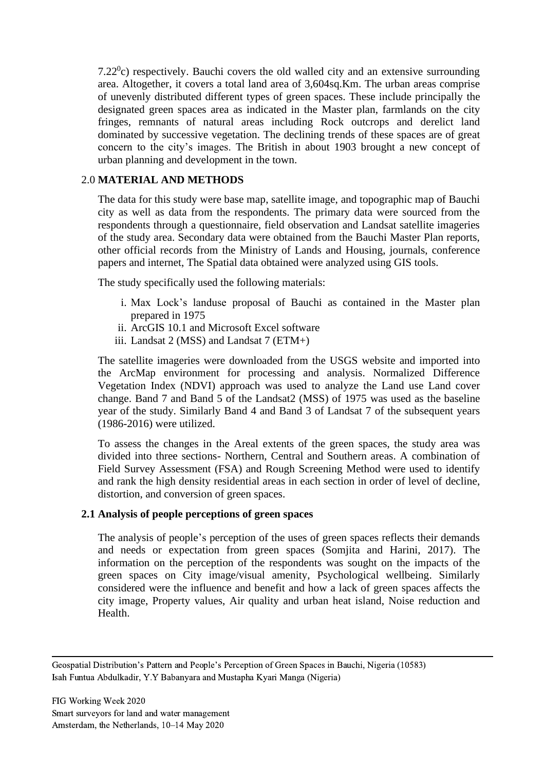$7.22\text{°c}$ ) respectively. Bauchi covers the old walled city and an extensive surrounding area. Altogether, it covers a total land area of 3,604sq.Km. The urban areas comprise of unevenly distributed different types of green spaces. These include principally the designated green spaces area as indicated in the Master plan, farmlands on the city fringes, remnants of natural areas including Rock outcrops and derelict land dominated by successive vegetation. The declining trends of these spaces are of great concern to the city's images. The British in about 1903 brought a new concept of urban planning and development in the town.

## 2.0 **MATERIAL AND METHODS**

The data for this study were base map, satellite image, and topographic map of Bauchi city as well as data from the respondents. The primary data were sourced from the respondents through a questionnaire, field observation and Landsat satellite imageries of the study area. Secondary data were obtained from the Bauchi Master Plan reports, other official records from the Ministry of Lands and Housing, journals, conference papers and internet, The Spatial data obtained were analyzed using GIS tools.

The study specifically used the following materials:

- i. Max Lock's landuse proposal of Bauchi as contained in the Master plan prepared in 1975
- ii. ArcGIS 10.1 and Microsoft Excel software
- iii. Landsat 2 (MSS) and Landsat 7 (ETM+)

The satellite imageries were downloaded from the USGS website and imported into the ArcMap environment for processing and analysis. Normalized Difference Vegetation Index (NDVI) approach was used to analyze the Land use Land cover change. Band 7 and Band 5 of the Landsat2 (MSS) of 1975 was used as the baseline year of the study. Similarly Band 4 and Band 3 of Landsat 7 of the subsequent years (1986-2016) were utilized.

To assess the changes in the Areal extents of the green spaces, the study area was divided into three sections- Northern, Central and Southern areas. A combination of Field Survey Assessment (FSA) and Rough Screening Method were used to identify and rank the high density residential areas in each section in order of level of decline, distortion, and conversion of green spaces.

## **2.1 Analysis of people perceptions of green spaces**

The analysis of people's perception of the uses of green spaces reflects their demands and needs or expectation from green spaces (Somjita and Harini, 2017). The information on the perception of the respondents was sought on the impacts of the green spaces on City image/visual amenity, Psychological wellbeing. Similarly considered were the influence and benefit and how a lack of green spaces affects the city image, Property values, Air quality and urban heat island, Noise reduction and Health.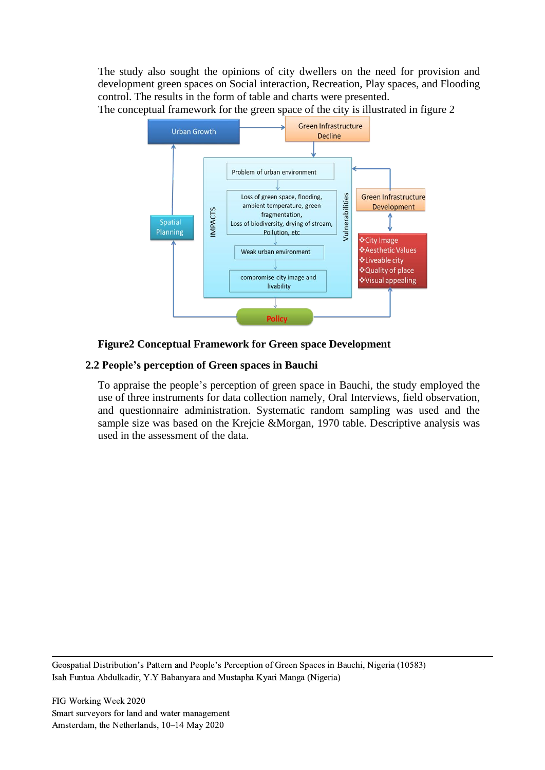The study also sought the opinions of city dwellers on the need for provision and development green spaces on Social interaction, Recreation, Play spaces, and Flooding control. The results in the form of table and charts were presented.

The conceptual framework for the green space of the city is illustrated in figure 2



## **Figure2 Conceptual Framework for Green space Development**

## **2.2 People's perception of Green spaces in Bauchi**

To appraise the people's perception of green space in Bauchi, the study employed the use of three instruments for data collection namely, Oral Interviews, field observation, and questionnaire administration. Systematic random sampling was used and the sample size was based on the Krejcie &Morgan, 1970 table. Descriptive analysis was used in the assessment of the data.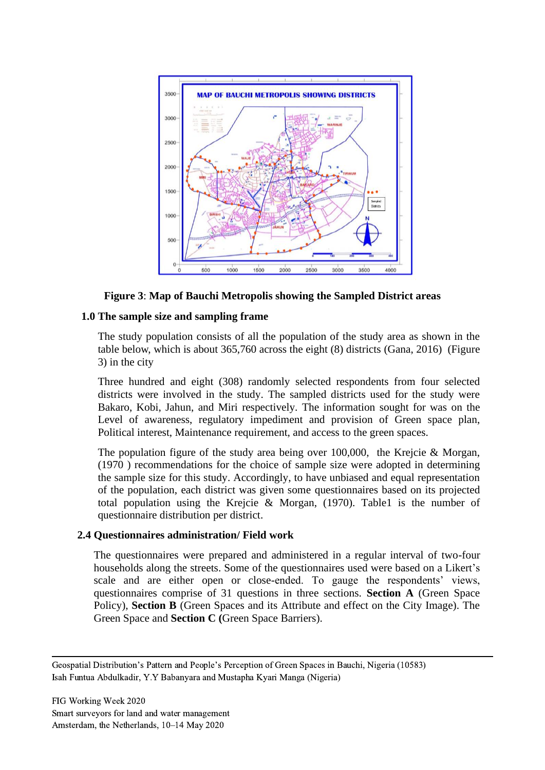

## **Figure 3**: **Map of Bauchi Metropolis showing the Sampled District areas**

### **1.0 The sample size and sampling frame**

The study population consists of all the population of the study area as shown in the table below, which is about 365,760 across the eight (8) districts (Gana, 2016) (Figure 3) in the city

Three hundred and eight (308) randomly selected respondents from four selected districts were involved in the study. The sampled districts used for the study were Bakaro, Kobi, Jahun, and Miri respectively. The information sought for was on the Level of awareness, regulatory impediment and provision of Green space plan, Political interest, Maintenance requirement, and access to the green spaces.

The population figure of the study area being over 100,000, the Krejcie & Morgan, (1970 ) recommendations for the choice of sample size were adopted in determining the sample size for this study. Accordingly, to have unbiased and equal representation of the population, each district was given some questionnaires based on its projected total population using the Krejcie & Morgan, (1970). Table1 is the number of questionnaire distribution per district.

#### **2.4 Questionnaires administration/ Field work**

The questionnaires were prepared and administered in a regular interval of two-four households along the streets. Some of the questionnaires used were based on a Likert's scale and are either open or close-ended. To gauge the respondents' views, questionnaires comprise of 31 questions in three sections. **Section A** (Green Space Policy), **Section B** (Green Spaces and its Attribute and effect on the City Image). The Green Space and **Section C (**Green Space Barriers).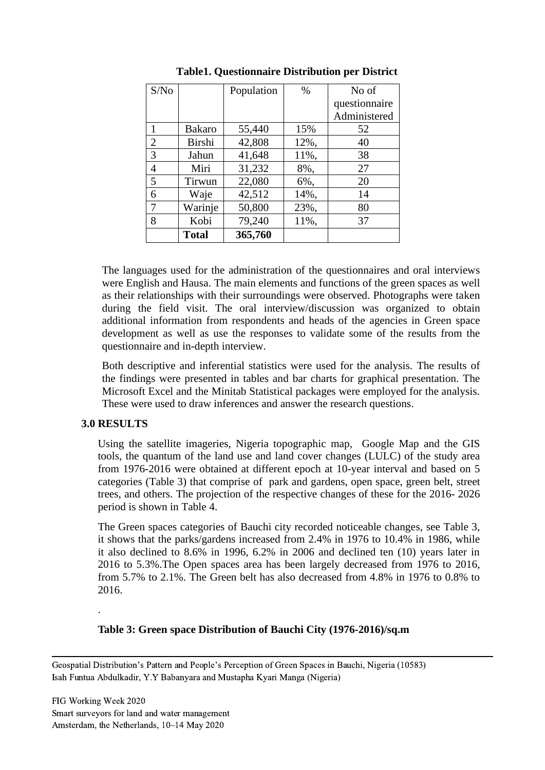| S/No           |               | Population | $\%$ | No of         |
|----------------|---------------|------------|------|---------------|
|                |               |            |      | questionnaire |
|                |               |            |      | Administered  |
| 1              | Bakaro        | 55,440     | 15%  | 52            |
| 2              | Birshi        | 42,808     | 12%, | 40            |
| 3              | Jahun         | 41,648     | 11%, | 38            |
| $\overline{4}$ | Miri          | 31,232     | 8%,  | 27            |
| 5              | <b>Tirwun</b> | 22,080     | 6%,  | 20            |
| 6              | Waje          | 42,512     | 14%, | 14            |
| 7              | Warinje       | 50,800     | 23%, | 80            |
| 8              | Kobi          | 79,240     | 11%, | 37            |
|                | <b>Total</b>  | 365,760    |      |               |

## **Table1. Questionnaire Distribution per District**

The languages used for the administration of the questionnaires and oral interviews were English and Hausa. The main elements and functions of the green spaces as well as their relationships with their surroundings were observed. Photographs were taken during the field visit. The oral interview/discussion was organized to obtain additional information from respondents and heads of the agencies in Green space development as well as use the responses to validate some of the results from the questionnaire and in-depth interview.

Both descriptive and inferential statistics were used for the analysis. The results of the findings were presented in tables and bar charts for graphical presentation. The Microsoft Excel and the Minitab Statistical packages were employed for the analysis. These were used to draw inferences and answer the research questions.

#### **3.0 RESULTS**

.

Using the satellite imageries, Nigeria topographic map, Google Map and the GIS tools, the quantum of the land use and land cover changes (LULC) of the study area from 1976-2016 were obtained at different epoch at 10-year interval and based on 5 categories (Table 3) that comprise of park and gardens, open space, green belt, street trees, and others. The projection of the respective changes of these for the 2016- 2026 period is shown in Table 4.

The Green spaces categories of Bauchi city recorded noticeable changes, see Table 3, it shows that the parks/gardens increased from 2.4% in 1976 to 10.4% in 1986, while it also declined to 8.6% in 1996, 6.2% in 2006 and declined ten (10) years later in 2016 to 5.3%.The Open spaces area has been largely decreased from 1976 to 2016, from 5.7% to 2.1%. The Green belt has also decreased from 4.8% in 1976 to 0.8% to 2016.

## **Table 3: Green space Distribution of Bauchi City (1976-2016)/sq.m**

Geospatial Distribution's Pattern and People's Perception of Green Spaces in Bauchi, Nigeria (10583) Isah Funtua Abdulkadir, Y.Y Babanyara and Mustapha Kyari Manga (Nigeria)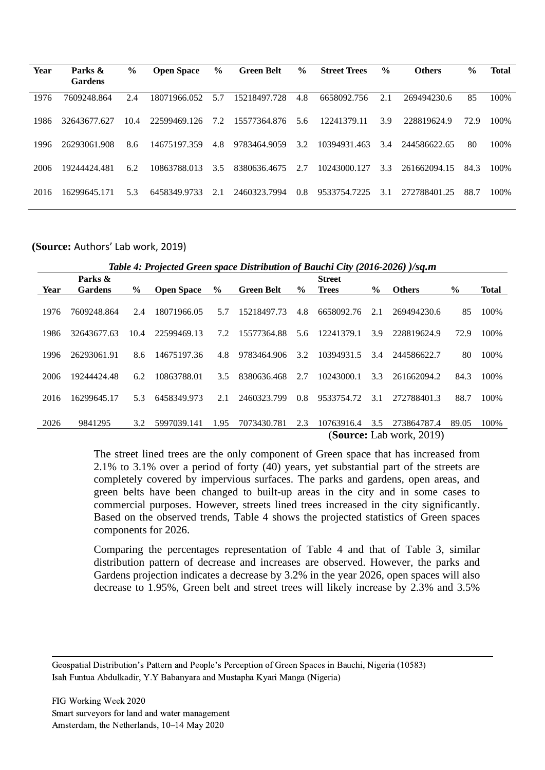| Parks &      | $\frac{6}{9}$  | <b>Open Space</b> | $\frac{6}{6}$ | <b>Green Belt</b> | $\frac{6}{6}$ | <b>Street Trees</b> | $\frac{6}{9}$ | <b>Others</b> | $\frac{0}{0}$ | <b>Total</b> |
|--------------|----------------|-------------------|---------------|-------------------|---------------|---------------------|---------------|---------------|---------------|--------------|
|              |                |                   |               |                   |               |                     |               |               |               |              |
| 7609248.864  | 2.4            | 18071966.052      | 5.7           | 15218497.728      | 4.8           | 6658092.756         | 2.1           | 269494230.6   | 85            | 100%         |
| 32643677.627 | 10.4           | 22599469.126      | 7.2           | 15577364.876      | 5.6           | 12241379.11         | 3.9           | 228819624.9   | 72.9          | 100\%        |
| 26293061.908 | 8.6            | 14675197.359      | 4.8           | 9783464.9059      | 3.2           | 10394931.463        | 3.4           | 244586622.65  | 80            | 100%         |
| 19244424.481 | 6.2            | 10863788.013      | 3.5           | 8380636.4675      | 2.7           | 10243000.127        | 3.3           | 261662094.15  | 84.3          | 100\%        |
| 16299645.171 | 5.3            | 6458349.9733      | 2.1           | 2460323.7994      | 0.8           | 9533754.7225        | 3.1           | 272788401.25  | 88.7          | 100%         |
|              | <b>Gardens</b> |                   |               |                   |               |                     |               |               |               |              |

**(Source:** Authors' Lab work, 2019)

|  | Table 4: Projected Green space Distribution of Bauchi City (2016-2026) )/sq.m |  |  |
|--|-------------------------------------------------------------------------------|--|--|
|--|-------------------------------------------------------------------------------|--|--|

|      | Parks &                         |               |                   |               |                   |               | <b>Street</b> |               |               |               |              |
|------|---------------------------------|---------------|-------------------|---------------|-------------------|---------------|---------------|---------------|---------------|---------------|--------------|
| Year | <b>Gardens</b>                  | $\frac{6}{9}$ | <b>Open Space</b> | $\frac{6}{9}$ | <b>Green Belt</b> | $\frac{6}{9}$ | <b>Trees</b>  | $\frac{6}{9}$ | <b>Others</b> | $\frac{6}{6}$ | <b>Total</b> |
|      |                                 |               |                   |               |                   |               |               |               |               |               |              |
| 1976 | 7609248.864                     | 2.4           | 18071966.05       | 5.7           | 15218497.73       | 4.8           | 6658092.76    | 2.1           | 269494230.6   | 85            | 100%         |
|      |                                 |               |                   |               |                   |               |               |               |               |               |              |
| 1986 | 32643677.63                     | 10.4          | 22599469.13       | 7.2           | 15577364.88       | 5.6           | 12241379.1    | 3.9           | 228819624.9   | 72.9          | 100%         |
|      |                                 |               |                   |               |                   |               |               |               |               |               |              |
| 1996 | 26293061.91                     | 8.6           | 14675197.36       | 4.8           | 9783464.906       | 3.2           | 10394931.5    | 3.4           | 244586622.7   | 80            | 100%         |
|      |                                 |               |                   |               |                   |               |               |               |               |               |              |
| 2006 | 19244424.48                     | 6.2           | 10863788.01       | 3.5           | 8380636.468       | 2.7           | 10243000.1    | 3.3           | 261662094.2   | 84.3          | 100%         |
|      |                                 |               |                   |               |                   |               |               |               |               |               |              |
| 2016 | 16299645.17                     | 5.3           | 6458349.973       | 2.1           | 2460323.799       | 0.8           | 9533754.72    | 3.1           | 272788401.3   | 88.7          | 100%         |
|      |                                 |               |                   |               |                   |               |               |               |               |               |              |
| 2026 | 9841295                         |               | 5997039.141       | 1.95          | 7073430.781       | 2.3           | 10763916.4    | 3.5           | 273864787.4   | 89.05         | 100%         |
|      |                                 | 3.2           |                   |               |                   |               |               |               |               |               |              |
|      | <b>(Source: Lab work, 2019)</b> |               |                   |               |                   |               |               |               |               |               |              |

The street lined trees are the only component of Green space that has increased from 2.1% to 3.1% over a period of forty (40) years, yet substantial part of the streets are completely covered by impervious surfaces. The parks and gardens, open areas, and green belts have been changed to built-up areas in the city and in some cases to commercial purposes. However, streets lined trees increased in the city significantly. Based on the observed trends, Table 4 shows the projected statistics of Green spaces components for 2026.

Comparing the percentages representation of Table 4 and that of Table 3, similar distribution pattern of decrease and increases are observed. However, the parks and Gardens projection indicates a decrease by 3.2% in the year 2026, open spaces will also decrease to 1.95%, Green belt and street trees will likely increase by 2.3% and 3.5%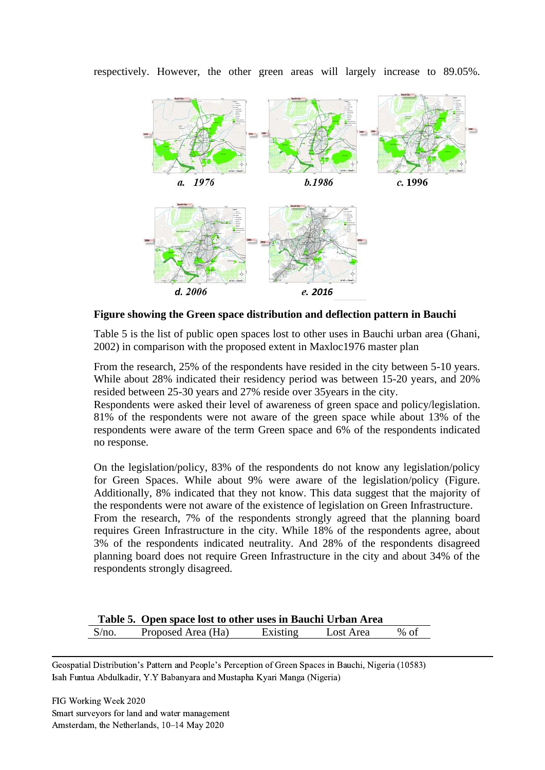

respectively. However, the other green areas will largely increase to 89.05%.

**Figure showing the Green space distribution and deflection pattern in Bauchi**

Table 5 is the list of public open spaces lost to other uses in Bauchi urban area (Ghani, 2002) in comparison with the proposed extent in Maxloc1976 master plan

From the research, 25% of the respondents have resided in the city between 5-10 years. While about 28% indicated their residency period was between 15-20 years, and 20% resided between 25-30 years and 27% reside over 35years in the city.

Respondents were asked their level of awareness of green space and policy/legislation. 81% of the respondents were not aware of the green space while about 13% of the respondents were aware of the term Green space and 6% of the respondents indicated no response.

On the legislation/policy, 83% of the respondents do not know any legislation/policy for Green Spaces. While about 9% were aware of the legislation/policy (Figure. Additionally, 8% indicated that they not know. This data suggest that the majority of the respondents were not aware of the existence of legislation on Green Infrastructure.

From the research, 7% of the respondents strongly agreed that the planning board requires Green Infrastructure in the city. While 18% of the respondents agree, about 3% of the respondents indicated neutrality. And 28% of the respondents disagreed planning board does not require Green Infrastructure in the city and about 34% of the respondents strongly disagreed.

|       | Table 5. Open space lost to other uses in Bauchi Urban Area |          |           |      |  |  |  |
|-------|-------------------------------------------------------------|----------|-----------|------|--|--|--|
| S/no. | Proposed Area (Ha)                                          | Existing | Lost Area | % of |  |  |  |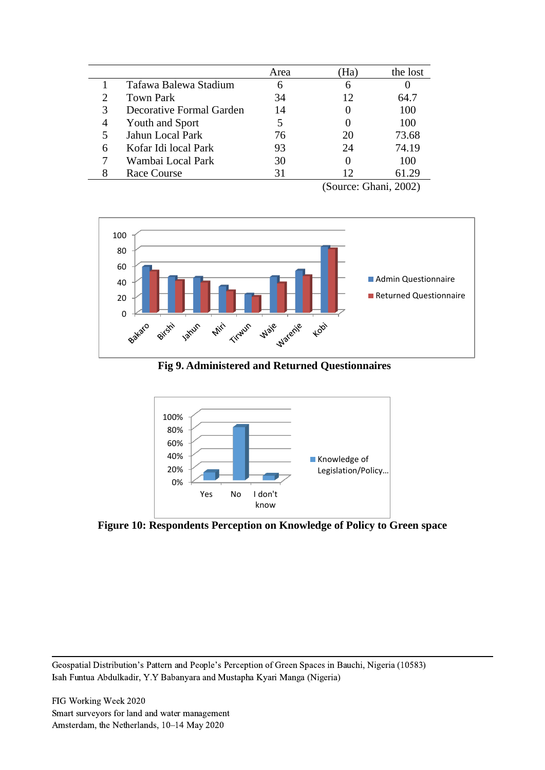|   |                          | Area | на | the lost |
|---|--------------------------|------|----|----------|
|   | Tafawa Balewa Stadium    | 6    | 6  |          |
|   | <b>Town Park</b>         | 34   | 12 | 64.7     |
| 3 | Decorative Formal Garden | 14   |    | 100      |
| 4 | Youth and Sport          |      |    | 100      |
|   | Jahun Local Park         | 76   | 20 | 73.68    |
| 6 | Kofar Idi local Park     | 93   | 24 | 74.19    |
|   | Wambai Local Park        | 30   |    | 100      |
|   | <b>Race Course</b>       | 31   | 12 | 61.29    |
|   |                          |      |    | .        |

(Source: Ghani, 2002)



**Fig 9. Administered and Returned Questionnaires**



**Figure 10: Respondents Perception on Knowledge of Policy to Green space**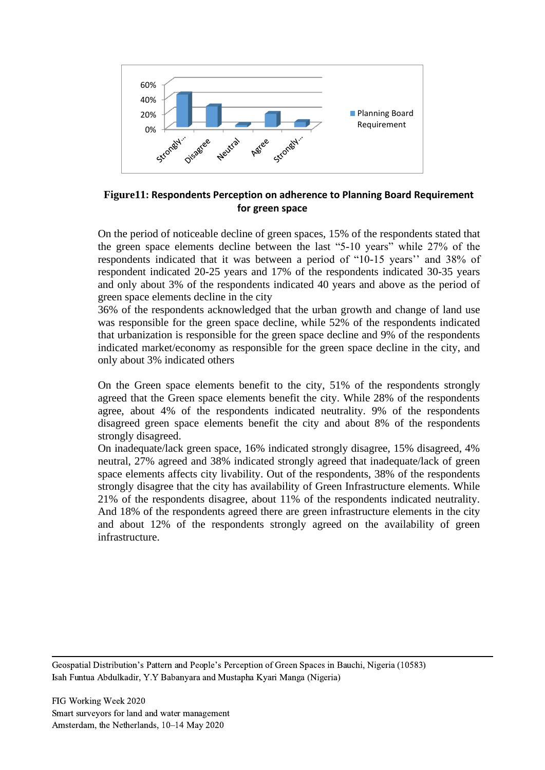

## **Figure11: Respondents Perception on adherence to Planning Board Requirement for green space**

On the period of noticeable decline of green spaces, 15% of the respondents stated that the green space elements decline between the last "5-10 years" while 27% of the respondents indicated that it was between a period of "10-15 years'' and 38% of respondent indicated 20-25 years and 17% of the respondents indicated 30-35 years and only about 3% of the respondents indicated 40 years and above as the period of green space elements decline in the city

36% of the respondents acknowledged that the urban growth and change of land use was responsible for the green space decline, while 52% of the respondents indicated that urbanization is responsible for the green space decline and 9% of the respondents indicated market/economy as responsible for the green space decline in the city, and only about 3% indicated others

On the Green space elements benefit to the city, 51% of the respondents strongly agreed that the Green space elements benefit the city. While 28% of the respondents agree, about 4% of the respondents indicated neutrality. 9% of the respondents disagreed green space elements benefit the city and about 8% of the respondents strongly disagreed.

On inadequate/lack green space, 16% indicated strongly disagree, 15% disagreed, 4% neutral, 27% agreed and 38% indicated strongly agreed that inadequate/lack of green space elements affects city livability. Out of the respondents, 38% of the respondents strongly disagree that the city has availability of Green Infrastructure elements. While 21% of the respondents disagree, about 11% of the respondents indicated neutrality. And 18% of the respondents agreed there are green infrastructure elements in the city and about 12% of the respondents strongly agreed on the availability of green infrastructure.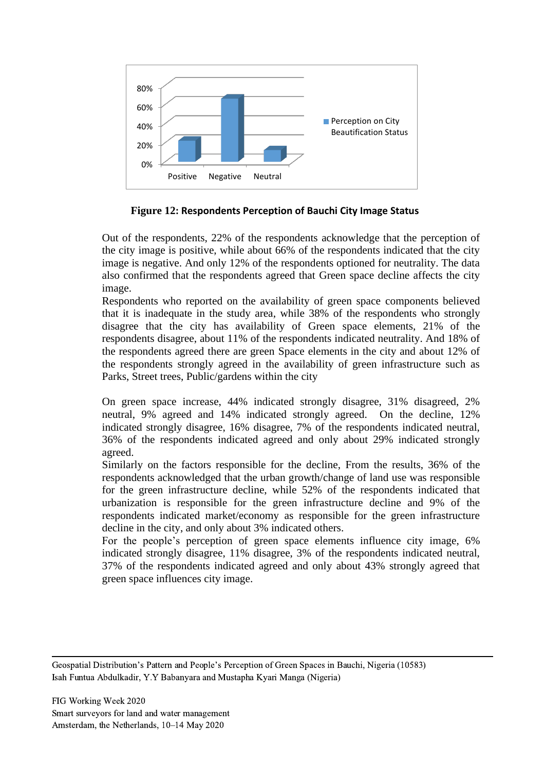

**Figure 12: Respondents Perception of Bauchi City Image Status**

Out of the respondents, 22% of the respondents acknowledge that the perception of the city image is positive, while about 66% of the respondents indicated that the city image is negative. And only 12% of the respondents optioned for neutrality. The data also confirmed that the respondents agreed that Green space decline affects the city image.

Respondents who reported on the availability of green space components believed that it is inadequate in the study area, while 38% of the respondents who strongly disagree that the city has availability of Green space elements, 21% of the respondents disagree, about 11% of the respondents indicated neutrality. And 18% of the respondents agreed there are green Space elements in the city and about 12% of the respondents strongly agreed in the availability of green infrastructure such as Parks, Street trees, Public/gardens within the city

On green space increase, 44% indicated strongly disagree, 31% disagreed, 2% neutral, 9% agreed and 14% indicated strongly agreed. On the decline, 12% indicated strongly disagree, 16% disagree, 7% of the respondents indicated neutral, 36% of the respondents indicated agreed and only about 29% indicated strongly agreed.

Similarly on the factors responsible for the decline, From the results, 36% of the respondents acknowledged that the urban growth/change of land use was responsible for the green infrastructure decline, while 52% of the respondents indicated that urbanization is responsible for the green infrastructure decline and 9% of the respondents indicated market/economy as responsible for the green infrastructure decline in the city, and only about 3% indicated others.

For the people's perception of green space elements influence city image, 6% indicated strongly disagree, 11% disagree, 3% of the respondents indicated neutral, 37% of the respondents indicated agreed and only about 43% strongly agreed that green space influences city image.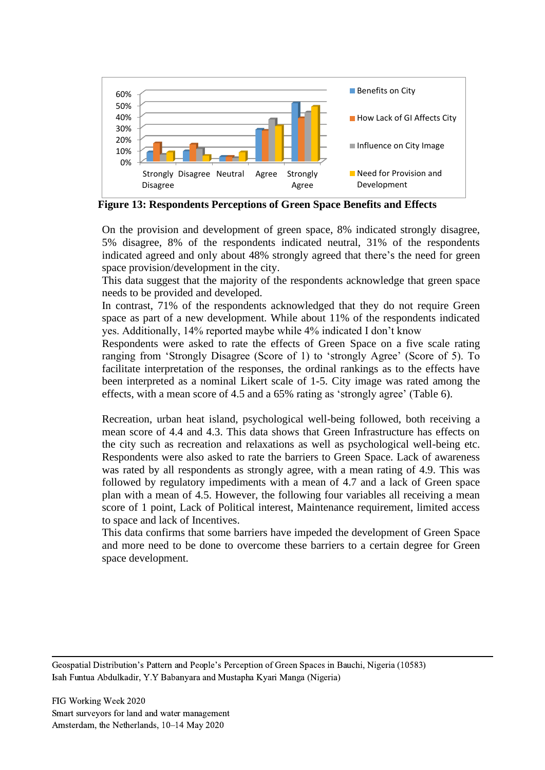

**Figure 13: Respondents Perceptions of Green Space Benefits and Effects**

On the provision and development of green space, 8% indicated strongly disagree, 5% disagree, 8% of the respondents indicated neutral, 31% of the respondents indicated agreed and only about 48% strongly agreed that there's the need for green space provision/development in the city.

This data suggest that the majority of the respondents acknowledge that green space needs to be provided and developed.

In contrast, 71% of the respondents acknowledged that they do not require Green space as part of a new development. While about 11% of the respondents indicated yes. Additionally, 14% reported maybe while 4% indicated I don't know

Respondents were asked to rate the effects of Green Space on a five scale rating ranging from 'Strongly Disagree (Score of 1) to 'strongly Agree' (Score of 5). To facilitate interpretation of the responses, the ordinal rankings as to the effects have been interpreted as a nominal Likert scale of 1-5. City image was rated among the effects, with a mean score of 4.5 and a 65% rating as 'strongly agree' (Table 6).

Recreation, urban heat island, psychological well-being followed, both receiving a mean score of 4.4 and 4.3. This data shows that Green Infrastructure has effects on the city such as recreation and relaxations as well as psychological well-being etc. Respondents were also asked to rate the barriers to Green Space. Lack of awareness was rated by all respondents as strongly agree, with a mean rating of 4.9. This was followed by regulatory impediments with a mean of 4.7 and a lack of Green space plan with a mean of 4.5. However, the following four variables all receiving a mean score of 1 point, Lack of Political interest, Maintenance requirement, limited access to space and lack of Incentives.

This data confirms that some barriers have impeded the development of Green Space and more need to be done to overcome these barriers to a certain degree for Green space development.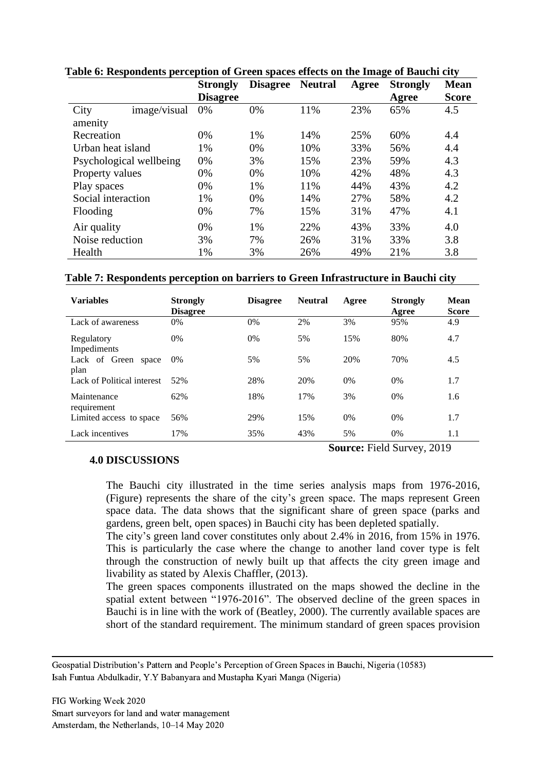|                         | <b>Strongly</b><br><b>Disagree</b> | <b>Disagree</b> | <b>Neutral</b> | Agree | ີ<br><b>Strongly</b><br>Agree | $\bullet$<br><b>Mean</b><br><b>Score</b> |
|-------------------------|------------------------------------|-----------------|----------------|-------|-------------------------------|------------------------------------------|
| City<br>image/visual    | 0%                                 | 0%              | 11%            | 23%   | 65%                           | 4.5                                      |
| amenity                 |                                    |                 |                |       |                               |                                          |
| Recreation              | 0%                                 | 1%              | 14%            | 25%   | 60%                           | 4.4                                      |
| Urban heat island       | 1%                                 | 0%              | 10%            | 33%   | 56%                           | 4.4                                      |
| Psychological wellbeing | 0%                                 | 3%              | 15%            | 23%   | 59%                           | 4.3                                      |
| Property values         | 0%                                 | 0%              | 10%            | 42%   | 48%                           | 4.3                                      |
| Play spaces             | 0%                                 | 1%              | 11%            | 44%   | 43%                           | 4.2                                      |
| Social interaction      | 1%                                 | 0%              | 14%            | 27%   | 58%                           | 4.2                                      |
| Flooding                | 0%                                 | 7%              | 15%            | 31%   | 47%                           | 4.1                                      |
| Air quality             | 0%                                 | 1%              | 22%            | 43%   | 33%                           | 4.0                                      |
| Noise reduction         | 3%                                 | 7%              | 26%            | 31%   | 33%                           | 3.8                                      |
| Health                  | 1%                                 | 3%              | 26%            | 49%   | 21%                           | 3.8                                      |

**Table 6: Respondents perception of Green spaces effects on the Image of Bauchi city** 

#### **Table 7: Respondents perception on barriers to Green Infrastructure in Bauchi city**

| <b>Variables</b>               | <b>Strongly</b><br><b>Disagree</b> | <b>Disagree</b> | <b>Neutral</b> | Agree | <b>Strongly</b><br>Agree | Mean<br><b>Score</b> |
|--------------------------------|------------------------------------|-----------------|----------------|-------|--------------------------|----------------------|
| Lack of awareness              | 0%                                 | 0%              | 2%             | 3%    | 95%                      | 4.9                  |
| Regulatory<br>Impediments      | $0\%$                              | $0\%$           | 5%             | 15%   | 80%                      | 4.7                  |
| Lack of Green<br>space<br>plan | $0\%$                              | 5%              | 5%             | 20%   | 70%                      | 4.5                  |
| Lack of Political interest     | 52%                                | 28%             | 20%            | 0%    | 0%                       | 1.7                  |
| Maintenance<br>requirement     | 62%                                | 18%             | 17%            | 3%    | 0%                       | 1.6                  |
| Limited access to space        | 56%                                | 29%             | 15%            | 0%    | $0\%$                    | 1.7                  |
| Lack incentives                | 17%                                | 35%             | 43%            | 5%    | 0%                       | 1.1                  |

#### **4.0 DISCUSSIONS**

The Bauchi city illustrated in the time series analysis maps from 1976-2016, (Figure) represents the share of the city's green space. The maps represent Green space data. The data shows that the significant share of green space (parks and gardens, green belt, open spaces) in Bauchi city has been depleted spatially.

**Source:** Field Survey, 2019

The city's green land cover constitutes only about 2.4% in 2016, from 15% in 1976. This is particularly the case where the change to another land cover type is felt through the construction of newly built up that affects the city green image and livability as stated by Alexis Chaffler, (2013).

The green spaces components illustrated on the maps showed the decline in the spatial extent between "1976-2016". The observed decline of the green spaces in Bauchi is in line with the work of (Beatley, 2000). The currently available spaces are short of the standard requirement. The minimum standard of green spaces provision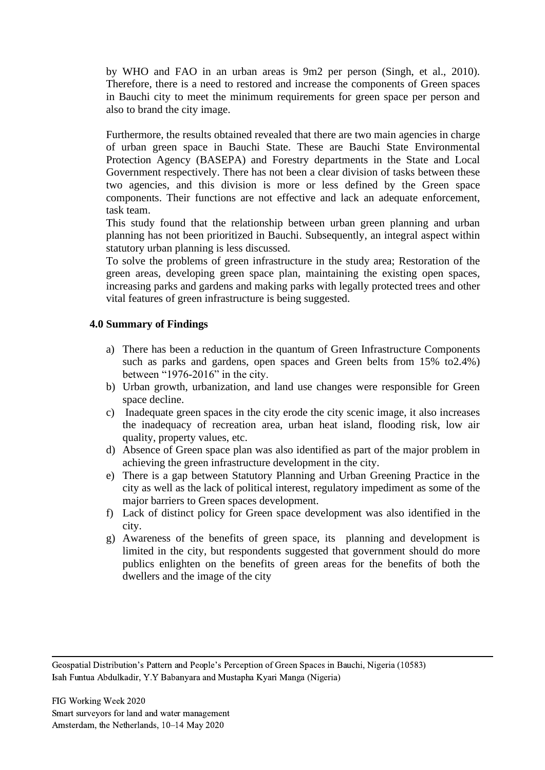by WHO and FAO in an urban areas is 9m2 per person (Singh, et al., 2010). Therefore, there is a need to restored and increase the components of Green spaces in Bauchi city to meet the minimum requirements for green space per person and also to brand the city image.

Furthermore, the results obtained revealed that there are two main agencies in charge of urban green space in Bauchi State. These are Bauchi State Environmental Protection Agency (BASEPA) and Forestry departments in the State and Local Government respectively. There has not been a clear division of tasks between these two agencies, and this division is more or less defined by the Green space components. Their functions are not effective and lack an adequate enforcement, task team.

This study found that the relationship between urban green planning and urban planning has not been prioritized in Bauchi. Subsequently, an integral aspect within statutory urban planning is less discussed.

To solve the problems of green infrastructure in the study area; Restoration of the green areas, developing green space plan, maintaining the existing open spaces, increasing parks and gardens and making parks with legally protected trees and other vital features of green infrastructure is being suggested.

## **4.0 Summary of Findings**

- a) There has been a reduction in the quantum of Green Infrastructure Components such as parks and gardens, open spaces and Green belts from 15% to2.4%) between "1976-2016" in the city.
- b) Urban growth, urbanization, and land use changes were responsible for Green space decline.
- c) Inadequate green spaces in the city erode the city scenic image, it also increases the inadequacy of recreation area, urban heat island, flooding risk, low air quality, property values, etc.
- d) Absence of Green space plan was also identified as part of the major problem in achieving the green infrastructure development in the city.
- e) There is a gap between Statutory Planning and Urban Greening Practice in the city as well as the lack of political interest, regulatory impediment as some of the major barriers to Green spaces development.
- f) Lack of distinct policy for Green space development was also identified in the city.
- g) Awareness of the benefits of green space, its planning and development is limited in the city, but respondents suggested that government should do more publics enlighten on the benefits of green areas for the benefits of both the dwellers and the image of the city

Geospatial Distribution's Pattern and People's Perception of Green Spaces in Bauchi, Nigeria (10583) Isah Funtua Abdulkadir, Y.Y Babanyara and Mustapha Kyari Manga (Nigeria)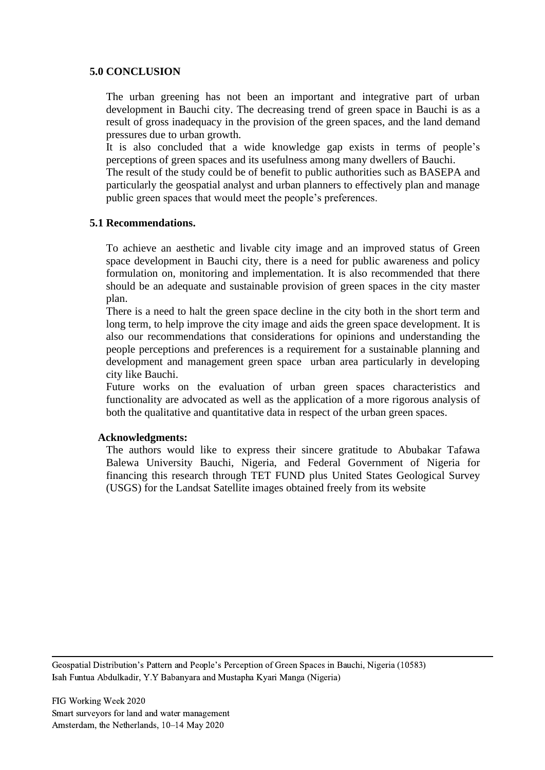#### **5.0 CONCLUSION**

The urban greening has not been an important and integrative part of urban development in Bauchi city. The decreasing trend of green space in Bauchi is as a result of gross inadequacy in the provision of the green spaces, and the land demand pressures due to urban growth.

It is also concluded that a wide knowledge gap exists in terms of people's perceptions of green spaces and its usefulness among many dwellers of Bauchi.

The result of the study could be of benefit to public authorities such as BASEPA and particularly the geospatial analyst and urban planners to effectively plan and manage public green spaces that would meet the people's preferences.

## **5.1 Recommendations.**

To achieve an aesthetic and livable city image and an improved status of Green space development in Bauchi city, there is a need for public awareness and policy formulation on, monitoring and implementation. It is also recommended that there should be an adequate and sustainable provision of green spaces in the city master plan.

There is a need to halt the green space decline in the city both in the short term and long term, to help improve the city image and aids the green space development. It is also our recommendations that considerations for opinions and understanding the people perceptions and preferences is a requirement for a sustainable planning and development and management green space urban area particularly in developing city like Bauchi.

Future works on the evaluation of urban green spaces characteristics and functionality are advocated as well as the application of a more rigorous analysis of both the qualitative and quantitative data in respect of the urban green spaces.

#### **Acknowledgments:**

The authors would like to express their sincere gratitude to Abubakar Tafawa Balewa University Bauchi, Nigeria, and Federal Government of Nigeria for financing this research through TET FUND plus United States Geological Survey (USGS) for the Landsat Satellite images obtained freely from its website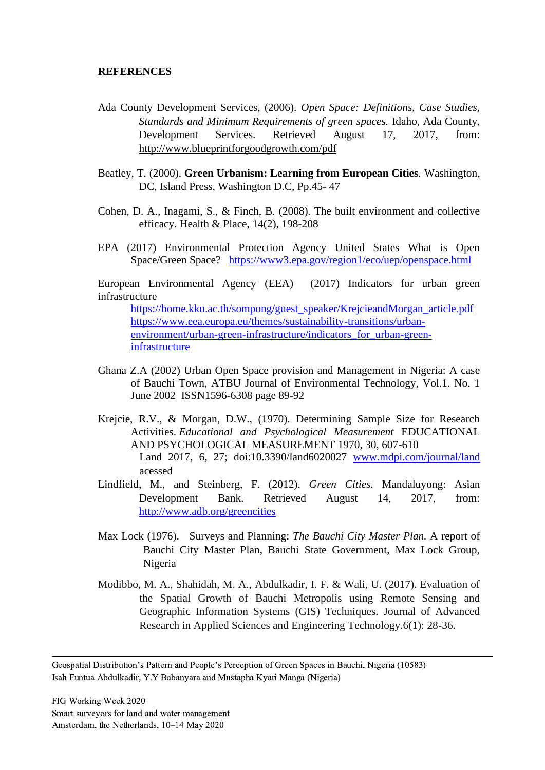#### **REFERENCES**

- Ada County Development Services, (2006). *Open Space: Definitions, Case Studies, Standards and Minimum Requirements of green spaces.* Idaho, Ada County, Development Services. Retrieved August 17, 2017, from: http://www.blueprintforgoodgrowth.com/pdf
- Beatley, T. (2000). **Green Urbanism: Learning from European Cities***.* Washington, DC, Island Press, Washington D.C, Pp.45- 47
- Cohen, D. A., Inagami, S., & Finch, B. (2008). The built environment and collective efficacy. Health & Place, 14(2), 198-208
- EPA (2017) Environmental Protection Agency United States What is Open Space/Green Space? <https://www3.epa.gov/region1/eco/uep/openspace.html>

European Environmental Agency (EEA) (2017) Indicators for urban green infrastructure

[https://home.kku.ac.th/sompong/guest\\_speaker/KrejcieandMorgan\\_article.pdf](https://home.kku.ac.th/sompong/guest_speaker/KrejcieandMorgan_article.pdf) [https://www.eea.europa.eu/themes/sustainability-transitions/urban](https://www.eea.europa.eu/themes/sustainability-transitions/urban-environment/urban-green-infrastructure/indicators_for_urban-green-infrastructure)[environment/urban-green-infrastructure/indicators\\_for\\_urban-green](https://www.eea.europa.eu/themes/sustainability-transitions/urban-environment/urban-green-infrastructure/indicators_for_urban-green-infrastructure)[infrastructure](https://www.eea.europa.eu/themes/sustainability-transitions/urban-environment/urban-green-infrastructure/indicators_for_urban-green-infrastructure)

- Ghana Z.A (2002) Urban Open Space provision and Management in Nigeria: A case of Bauchi Town, ATBU Journal of Environmental Technology, Vol.1. No. 1 June 2002 ISSN1596-6308 page 89-92
- Krejcie, R.V., & Morgan, D.W., (1970). Determining Sample Size for Research Activities. *Educational and Psychological Measurement* EDUCATIONAL AND PSYCHOLOGICAL MEASUREMENT 1970, 30, 607-610 Land 2017, 6, 27; doi:10.3390/land6020027 [www.mdpi.com/journal/land](http://www.mdpi.com/journal/land) acessed
- Lindfield, M., and Steinberg, F. (2012). *Green Cities.* Mandaluyong: Asian Development Bank. Retrieved August 14, 2017, from: <http://www.adb.org/greencities>
- Max Lock (1976). Surveys and Planning: *The Bauchi City Master Plan.* A report of Bauchi City Master Plan, Bauchi State Government, Max Lock Group, Nigeria
- Modibbo, M. A., Shahidah, M. A., Abdulkadir, I. F. & Wali, U. (2017). Evaluation of the Spatial Growth of Bauchi Metropolis using Remote Sensing and Geographic Information Systems (GIS) Techniques. Journal of Advanced Research in Applied Sciences and Engineering Technology.6(1): 28-36.

Geospatial Distribution's Pattern and People's Perception of Green Spaces in Bauchi, Nigeria (10583) Isah Funtua Abdulkadir, Y.Y Babanyara and Mustapha Kyari Manga (Nigeria)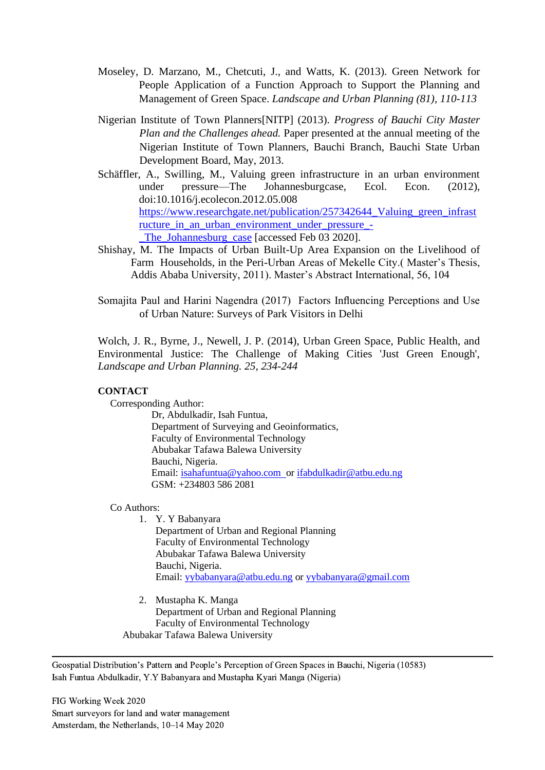- Moseley, D. Marzano, M., Chetcuti, J., and Watts, K. (2013). Green Network for People Application of a Function Approach to Support the Planning and Management of Green Space. *Landscape and Urban Planning (81), 110-113*
- Nigerian Institute of Town Planners[NITP] (2013). *Progress of Bauchi City Master Plan and the Challenges ahead.* Paper presented at the annual meeting of the Nigerian Institute of Town Planners, Bauchi Branch, Bauchi State Urban Development Board, May, 2013.
- Schäffler, A., Swilling, M., Valuing green infrastructure in an urban environment under pressure—The Johannesburgcase, Ecol. Econ. (2012), doi:10.1016/j.ecolecon.2012.05.008 [https://www.researchgate.net/publication/257342644\\_Valuing\\_green\\_infrast](https://www.researchgate.net/publication/257342644_Valuing_green_infrastructure_in_an_urban_environment_under_pressure_-_The_Johannesburg_case) [ructure\\_in\\_an\\_urban\\_environment\\_under\\_pressure\\_-](https://www.researchgate.net/publication/257342644_Valuing_green_infrastructure_in_an_urban_environment_under_pressure_-_The_Johannesburg_case) The Johannesburg case [accessed Feb 03 2020].
- Shishay, M. The Impacts of Urban Built-Up Area Expansion on the Livelihood of Farm Households, in the Peri-Urban Areas of Mekelle City.( Master's Thesis, Addis Ababa University, 2011). Master's Abstract International, 56, 104
- Somajita Paul and Harini Nagendra (2017) Factors Influencing Perceptions and Use of Urban Nature: Surveys of Park Visitors in Delhi

Wolch, J. R., Byrne, J., Newell, J. P. (2014), Urban Green Space, Public Health, and Environmental Justice: The Challenge of Making Cities 'Just Green Enough', *Landscape and Urban Planning. 25, 234-244*

#### **CONTACT**

Corresponding Author:

Dr, Abdulkadir, Isah Funtua, Department of Surveying and Geoinformatics, Faculty of Environmental Technology Abubakar Tafawa Balewa University Bauchi, Nigeria. Email: [isahafuntua@yahoo.com](mailto:isahafuntua@yahoo.com) or ifabdulkadir@atbu.edu.ng GSM: +234803 586 2081

Co Authors:

- 1. Y. Y Babanyara Department of Urban and Regional Planning Faculty of Environmental Technology Abubakar Tafawa Balewa University Bauchi, Nigeria. Email: [yybabanyara@atbu.edu.ng](mailto:yybabanyara@atbu.edu.ng) or [yybabanyara@gmail.com](mailto:yybabanyara@gmail.com)
- 2. Mustapha K. Manga Department of Urban and Regional Planning Faculty of Environmental Technology Abubakar Tafawa Balewa University